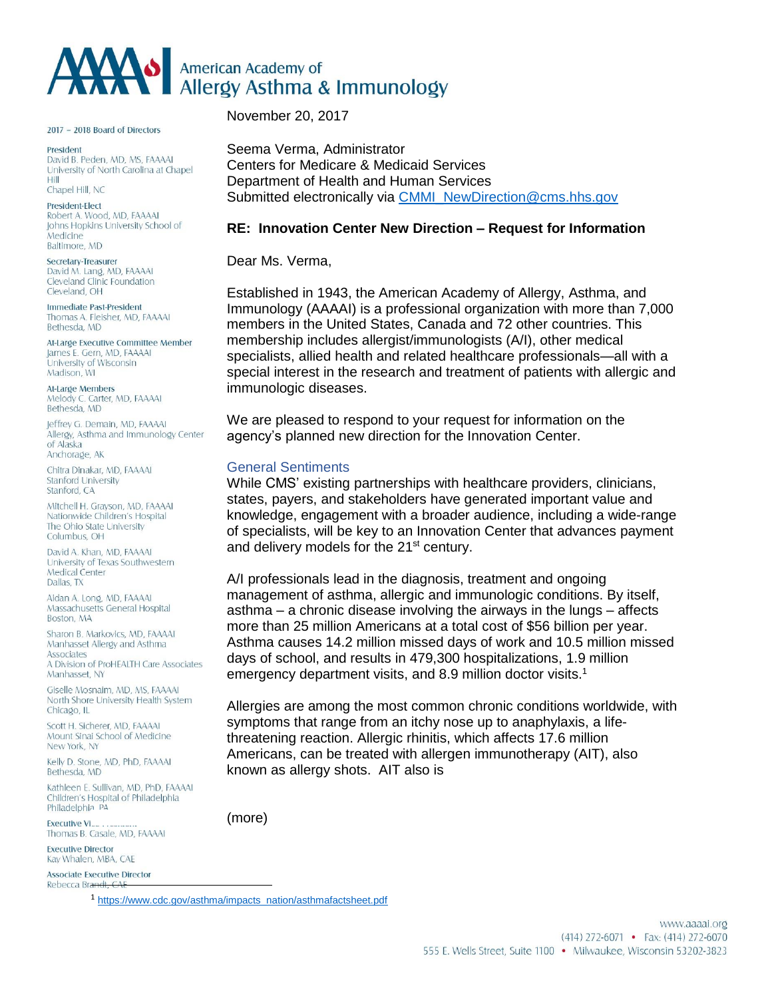

2017 - 2018 Board of Directors

President David B. Peden, MD, MS, FAAAAI University of North Carolina at Chapel Hill Chapel Hill, NC

President-Elect Robert A. Wood, MD, FAAAAI Johns Hopkins University School of Medicine Baltimore, MD

Secretary-Treasurer David M. Lang, MD, FAAAAI Cleveland Clinic Foundation Cleveland, OH

Immediate Past-President Thomas A. Fleisher, MD, FAAAAI Bethesda, MD

At-Large Executive Committee Member James E. Gern, MD, FAAAAI University of Wisconsin Madison, WI

**At-Large Members** Melody C. Carter, MD, FAAAAI Bethesda, MD

leffrey G. Demain, MD. FAAAAL Allergy, Asthma and Immunology Center of Alaska Anchorage, AK

Chitra Dinakar, MD, FAAAAI **Stanford University** Stanford CA

Mitchell H. Grayson, MD, FAAAAI Nationwide Children's Hospital The Ohio State University Columbus, OH

David A. Khan, MD, FAAAAI University of Texas Southwestern **Medical Center** Dallas, TX

Aidan A. Long, MD, FAAAAI Massachusetts General Hospital Boston, MA

Sharon B. Markovics, MD, FAAAAI Manhasset Allergy and Asthma Associates A Division of ProHEALTH Care Associates Manhasset, NY

Giselle Mosnaim, MD, MS, FAAAAI North Shore University Health System Chicago, IL

Scott H. Sicherer, MD, FAAAAI Mount Sinai School of Medicine New York, NY

Kelly D. Stone, MD, PhD, FAAAAI Bethesda, MD

Kathleen E. Sullivan, MD, PhD, FAAAAI Children's Hospital of Philadelphia Philadelphia PA

**Executive VI** Thomas B. Casale, MD, FAAAAI

**Executive Director** Kay Whalen, MBA, CAE

Associate Executive Director<br>Rebecca Brandt, CAE

November 20, 2017

Seema Verma, Administrator Centers for Medicare & Medicaid Services Department of Health and Human Services Submitted electronically via [CMMI\\_NewDirection@cms.hhs.gov](mailto:CMMI_NewDirection@cms.hhs.gov)

### **RE: Innovation Center New Direction – Request for Information**

Dear Ms. Verma,

Established in 1943, the American Academy of Allergy, Asthma, and Immunology (AAAAI) is a professional organization with more than 7,000 members in the United States, Canada and 72 other countries. This membership includes allergist/immunologists (A/I), other medical specialists, allied health and related healthcare professionals—all with a special interest in the research and treatment of patients with allergic and immunologic diseases.

We are pleased to respond to your request for information on the agency's planned new direction for the Innovation Center.

### General Sentiments

While CMS' existing partnerships with healthcare providers, clinicians, states, payers, and stakeholders have generated important value and knowledge, engagement with a broader audience, including a wide-range of specialists, will be key to an Innovation Center that advances payment and delivery models for the 21<sup>st</sup> century.

A/I professionals lead in the diagnosis, treatment and ongoing management of asthma, allergic and immunologic conditions. By itself, asthma – a chronic disease involving the airways in the lungs – affects more than 25 million Americans at a total cost of \$56 billion per year. Asthma causes 14.2 million missed days of work and 10.5 million missed days of school, and results in 479,300 hospitalizations, 1.9 million emergency department visits, and 8.9 million doctor visits.<sup>1</sup>

Allergies are among the most common chronic conditions worldwide, with symptoms that range from an itchy nose up to anaphylaxis, a lifethreatening reaction. Allergic rhinitis, which affects 17.6 million Americans, can be treated with allergen immunotherapy (AIT), also known as allergy shots. AIT also is

(more)

<sup>1</sup> [https://www.cdc.gov/asthma/impacts\\_nation/asthmafactsheet.pdf](https://www.cdc.gov/asthma/impacts_nation/asthmafactsheet.pdf)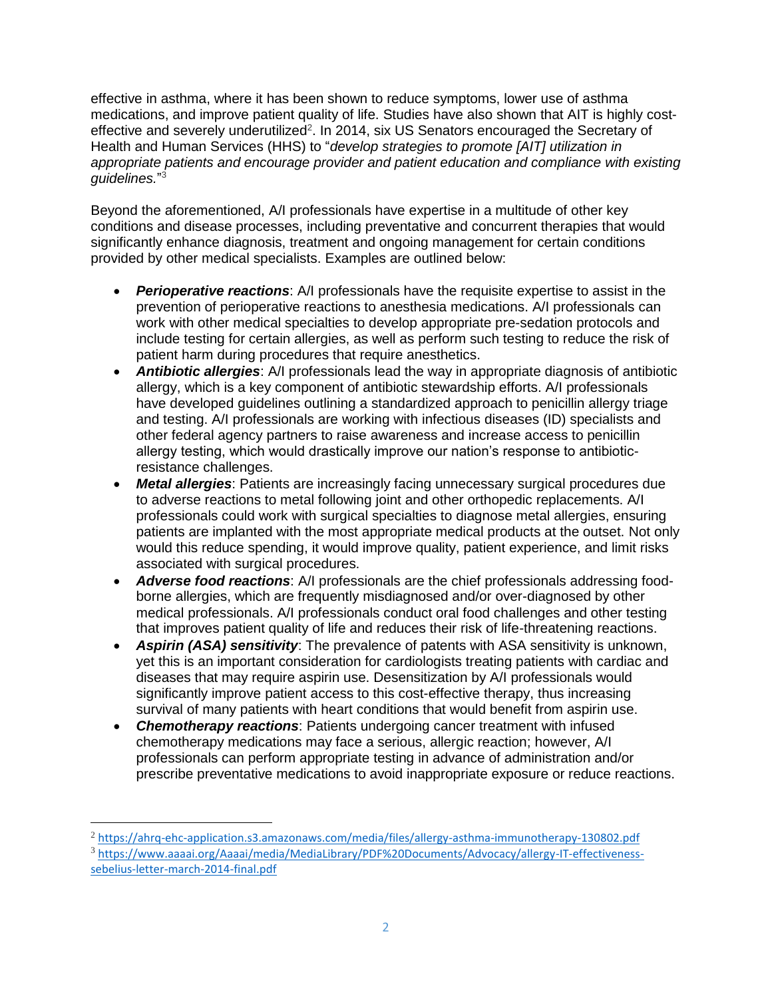effective in asthma, where it has been shown to reduce symptoms, lower use of asthma medications, and improve patient quality of life. Studies have also shown that AIT is highly costeffective and severely underutilized<sup>2</sup>. In 2014, six US Senators encouraged the Secretary of Health and Human Services (HHS) to "*develop strategies to promote [AIT] utilization in appropriate patients and encourage provider and patient education and compliance with existing guidelines.*" 3

Beyond the aforementioned, A/I professionals have expertise in a multitude of other key conditions and disease processes, including preventative and concurrent therapies that would significantly enhance diagnosis, treatment and ongoing management for certain conditions provided by other medical specialists. Examples are outlined below:

- *Perioperative reactions*: A/I professionals have the requisite expertise to assist in the prevention of perioperative reactions to anesthesia medications. A/I professionals can work with other medical specialties to develop appropriate pre-sedation protocols and include testing for certain allergies, as well as perform such testing to reduce the risk of patient harm during procedures that require anesthetics.
- *Antibiotic allergies*: A/I professionals lead the way in appropriate diagnosis of antibiotic allergy, which is a key component of antibiotic stewardship efforts. A/I professionals have developed guidelines outlining a standardized approach to penicillin allergy triage and testing. A/I professionals are working with infectious diseases (ID) specialists and other federal agency partners to raise awareness and increase access to penicillin allergy testing, which would drastically improve our nation's response to antibioticresistance challenges.
- *Metal allergies*: Patients are increasingly facing unnecessary surgical procedures due to adverse reactions to metal following joint and other orthopedic replacements. A/I professionals could work with surgical specialties to diagnose metal allergies, ensuring patients are implanted with the most appropriate medical products at the outset. Not only would this reduce spending, it would improve quality, patient experience, and limit risks associated with surgical procedures.
- *Adverse food reactions*: A/I professionals are the chief professionals addressing foodborne allergies, which are frequently misdiagnosed and/or over-diagnosed by other medical professionals. A/I professionals conduct oral food challenges and other testing that improves patient quality of life and reduces their risk of life-threatening reactions.
- *Aspirin (ASA) sensitivity*: The prevalence of patents with ASA sensitivity is unknown, yet this is an important consideration for cardiologists treating patients with cardiac and diseases that may require aspirin use. Desensitization by A/I professionals would significantly improve patient access to this cost-effective therapy, thus increasing survival of many patients with heart conditions that would benefit from aspirin use.
- *Chemotherapy reactions*: Patients undergoing cancer treatment with infused chemotherapy medications may face a serious, allergic reaction; however, A/I professionals can perform appropriate testing in advance of administration and/or prescribe preventative medications to avoid inappropriate exposure or reduce reactions.

 $\overline{a}$ 

<sup>2</sup> <https://ahrq-ehc-application.s3.amazonaws.com/media/files/allergy-asthma-immunotherapy-130802.pdf>

<sup>3</sup> [https://www.aaaai.org/Aaaai/media/MediaLibrary/PDF%20Documents/Advocacy/allergy-IT-effectiveness](https://www.aaaai.org/Aaaai/media/MediaLibrary/PDF%2520Documents/Advocacy/allergy-IT-effectiveness-sebelius-letter-march-2014-final.pdf)[sebelius-letter-march-2014-final.pdf](https://www.aaaai.org/Aaaai/media/MediaLibrary/PDF%2520Documents/Advocacy/allergy-IT-effectiveness-sebelius-letter-march-2014-final.pdf)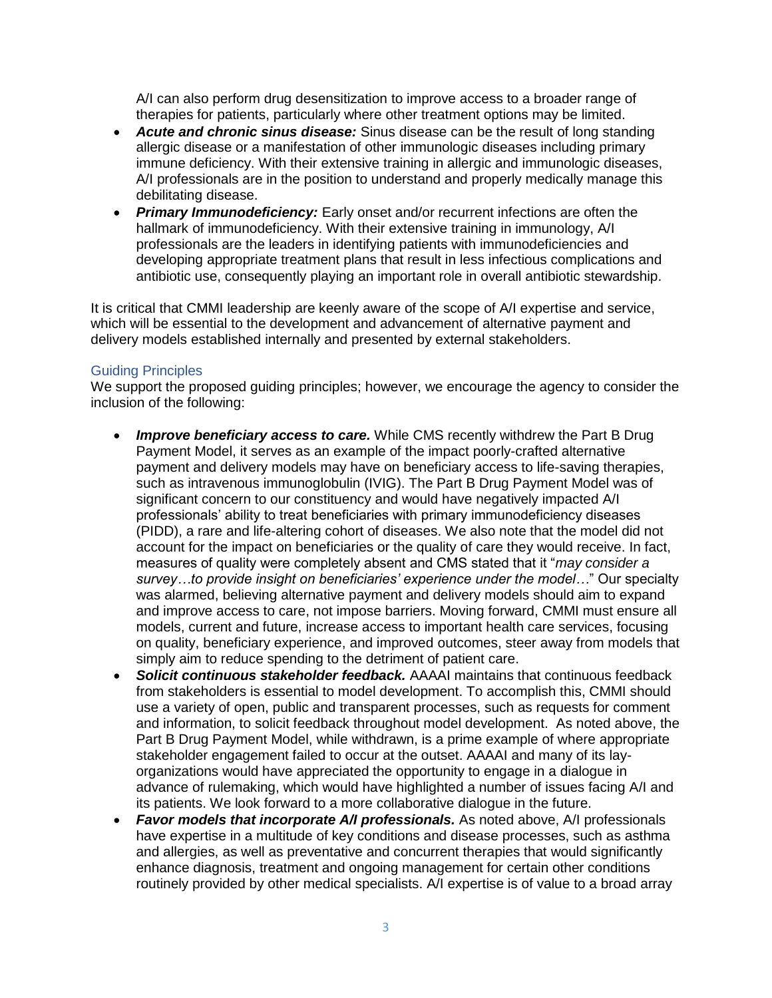A/I can also perform drug desensitization to improve access to a broader range of therapies for patients, particularly where other treatment options may be limited.

- *Acute and chronic sinus disease:* Sinus disease can be the result of long standing allergic disease or a manifestation of other immunologic diseases including primary immune deficiency. With their extensive training in allergic and immunologic diseases, A/I professionals are in the position to understand and properly medically manage this debilitating disease.
- *Primary Immunodeficiency:* Early onset and/or recurrent infections are often the hallmark of immunodeficiency. With their extensive training in immunology, A/I professionals are the leaders in identifying patients with immunodeficiencies and developing appropriate treatment plans that result in less infectious complications and antibiotic use, consequently playing an important role in overall antibiotic stewardship.

It is critical that CMMI leadership are keenly aware of the scope of A/I expertise and service, which will be essential to the development and advancement of alternative payment and delivery models established internally and presented by external stakeholders.

## Guiding Principles

We support the proposed guiding principles; however, we encourage the agency to consider the inclusion of the following:

- *Improve beneficiary access to care.* While CMS recently withdrew the Part B Drug Payment Model, it serves as an example of the impact poorly-crafted alternative payment and delivery models may have on beneficiary access to life-saving therapies, such as intravenous immunoglobulin (IVIG). The Part B Drug Payment Model was of significant concern to our constituency and would have negatively impacted A/I professionals' ability to treat beneficiaries with primary immunodeficiency diseases (PIDD), a rare and life-altering cohort of diseases. We also note that the model did not account for the impact on beneficiaries or the quality of care they would receive. In fact, measures of quality were completely absent and CMS stated that it "*may consider a survey…to provide insight on beneficiaries' experience under the model…*" Our specialty was alarmed, believing alternative payment and delivery models should aim to expand and improve access to care, not impose barriers. Moving forward, CMMI must ensure all models, current and future, increase access to important health care services, focusing on quality, beneficiary experience, and improved outcomes, steer away from models that simply aim to reduce spending to the detriment of patient care.
- *Solicit continuous stakeholder feedback.* AAAAI maintains that continuous feedback from stakeholders is essential to model development. To accomplish this, CMMI should use a variety of open, public and transparent processes, such as requests for comment and information, to solicit feedback throughout model development. As noted above, the Part B Drug Payment Model, while withdrawn, is a prime example of where appropriate stakeholder engagement failed to occur at the outset. AAAAI and many of its layorganizations would have appreciated the opportunity to engage in a dialogue in advance of rulemaking, which would have highlighted a number of issues facing A/I and its patients. We look forward to a more collaborative dialogue in the future.
- *Favor models that incorporate A/I professionals.* As noted above, A/I professionals have expertise in a multitude of key conditions and disease processes, such as asthma and allergies, as well as preventative and concurrent therapies that would significantly enhance diagnosis, treatment and ongoing management for certain other conditions routinely provided by other medical specialists. A/I expertise is of value to a broad array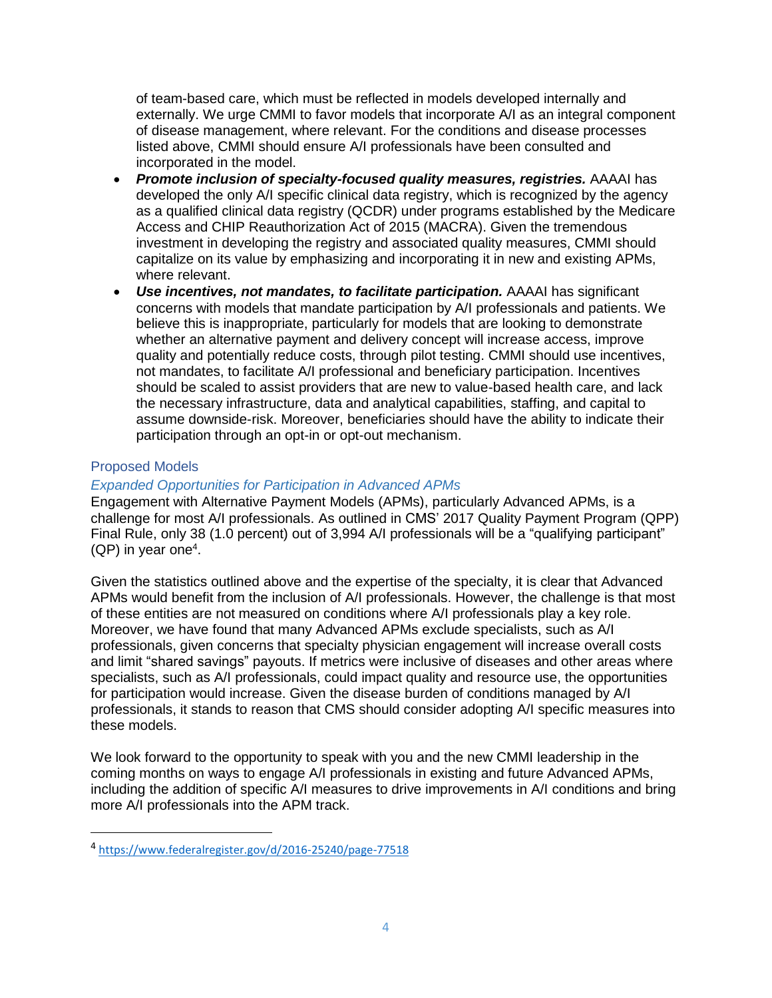of team-based care, which must be reflected in models developed internally and externally. We urge CMMI to favor models that incorporate A/I as an integral component of disease management, where relevant. For the conditions and disease processes listed above, CMMI should ensure A/I professionals have been consulted and incorporated in the model.

- *Promote inclusion of specialty-focused quality measures, registries.* AAAAI has developed the only A/I specific clinical data registry, which is recognized by the agency as a qualified clinical data registry (QCDR) under programs established by the Medicare Access and CHIP Reauthorization Act of 2015 (MACRA). Given the tremendous investment in developing the registry and associated quality measures, CMMI should capitalize on its value by emphasizing and incorporating it in new and existing APMs, where relevant.
- *Use incentives, not mandates, to facilitate participation.* AAAAI has significant concerns with models that mandate participation by A/I professionals and patients. We believe this is inappropriate, particularly for models that are looking to demonstrate whether an alternative payment and delivery concept will increase access, improve quality and potentially reduce costs, through pilot testing. CMMI should use incentives, not mandates, to facilitate A/I professional and beneficiary participation. Incentives should be scaled to assist providers that are new to value-based health care, and lack the necessary infrastructure, data and analytical capabilities, staffing, and capital to assume downside-risk. Moreover, beneficiaries should have the ability to indicate their participation through an opt-in or opt-out mechanism.

# Proposed Models

l

## *Expanded Opportunities for Participation in Advanced APMs*

Engagement with Alternative Payment Models (APMs), particularly Advanced APMs, is a challenge for most A/I professionals. As outlined in CMS' 2017 Quality Payment Program (QPP) Final Rule, only 38 (1.0 percent) out of 3,994 A/I professionals will be a "qualifying participant"  $(QP)$  in year one<sup>4</sup>.

Given the statistics outlined above and the expertise of the specialty, it is clear that Advanced APMs would benefit from the inclusion of A/I professionals. However, the challenge is that most of these entities are not measured on conditions where A/I professionals play a key role. Moreover, we have found that many Advanced APMs exclude specialists, such as A/I professionals, given concerns that specialty physician engagement will increase overall costs and limit "shared savings" payouts. If metrics were inclusive of diseases and other areas where specialists, such as A/I professionals, could impact quality and resource use, the opportunities for participation would increase. Given the disease burden of conditions managed by A/I professionals, it stands to reason that CMS should consider adopting A/I specific measures into these models.

We look forward to the opportunity to speak with you and the new CMMI leadership in the coming months on ways to engage A/I professionals in existing and future Advanced APMs, including the addition of specific A/I measures to drive improvements in A/I conditions and bring more A/I professionals into the APM track.

<sup>4</sup> <https://www.federalregister.gov/d/2016-25240/page-77518>